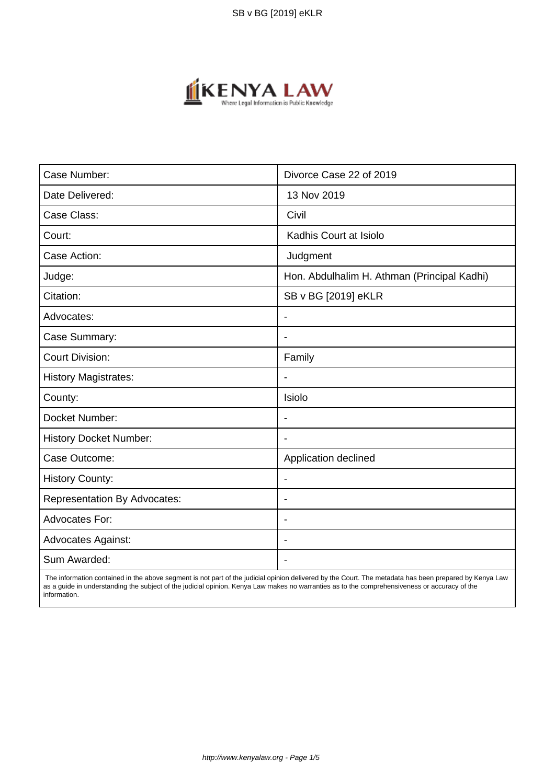

| Case Number:                        | Divorce Case 22 of 2019                     |  |
|-------------------------------------|---------------------------------------------|--|
| Date Delivered:                     | 13 Nov 2019                                 |  |
| Case Class:                         | Civil                                       |  |
| Court:                              | Kadhis Court at Isiolo                      |  |
| Case Action:                        | Judgment                                    |  |
| Judge:                              | Hon. Abdulhalim H. Athman (Principal Kadhi) |  |
| Citation:                           | SB v BG [2019] eKLR                         |  |
| Advocates:                          | $\overline{\phantom{a}}$                    |  |
| Case Summary:                       | $\blacksquare$                              |  |
| <b>Court Division:</b>              | Family                                      |  |
| <b>History Magistrates:</b>         | $\blacksquare$                              |  |
| County:                             | Isiolo                                      |  |
| Docket Number:                      | $\overline{\phantom{a}}$                    |  |
| <b>History Docket Number:</b>       |                                             |  |
| Case Outcome:                       | Application declined                        |  |
| <b>History County:</b>              | $\blacksquare$                              |  |
| <b>Representation By Advocates:</b> | $\overline{\phantom{a}}$                    |  |
| <b>Advocates For:</b>               | $\blacksquare$                              |  |
| <b>Advocates Against:</b>           | $\overline{\phantom{a}}$                    |  |
| Sum Awarded:                        |                                             |  |

 The information contained in the above segment is not part of the judicial opinion delivered by the Court. The metadata has been prepared by Kenya Law as a guide in understanding the subject of the judicial opinion. Kenya Law makes no warranties as to the comprehensiveness or accuracy of the information.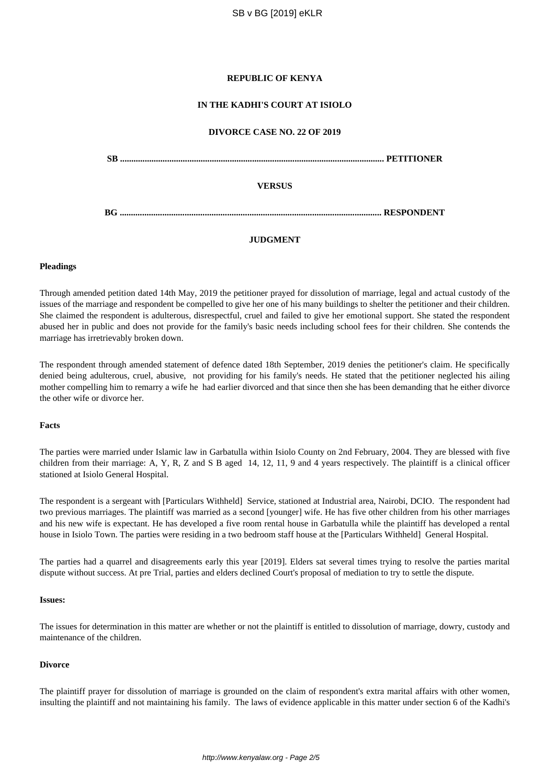## **REPUBLIC OF KENYA**

## **IN THE KADHI'S COURT AT ISIOLO**

#### **DIVORCE CASE NO. 22 OF 2019**

| <b>SB</b> |               |  |
|-----------|---------------|--|
|           | <b>VERSUS</b> |  |
| ВG        |               |  |

## **JUDGMENT**

#### **Pleadings**

Through amended petition dated 14th May, 2019 the petitioner prayed for dissolution of marriage, legal and actual custody of the issues of the marriage and respondent be compelled to give her one of his many buildings to shelter the petitioner and their children. She claimed the respondent is adulterous, disrespectful, cruel and failed to give her emotional support. She stated the respondent abused her in public and does not provide for the family's basic needs including school fees for their children. She contends the marriage has irretrievably broken down.

The respondent through amended statement of defence dated 18th September, 2019 denies the petitioner's claim. He specifically denied being adulterous, cruel, abusive, not providing for his family's needs. He stated that the petitioner neglected his ailing mother compelling him to remarry a wife he had earlier divorced and that since then she has been demanding that he either divorce the other wife or divorce her.

# **Facts**

The parties were married under Islamic law in Garbatulla within Isiolo County on 2nd February, 2004. They are blessed with five children from their marriage: A, Y, R, Z and S B aged 14, 12, 11, 9 and 4 years respectively. The plaintiff is a clinical officer stationed at Isiolo General Hospital.

The respondent is a sergeant with [Particulars Withheld] Service, stationed at Industrial area, Nairobi, DCIO. The respondent had two previous marriages. The plaintiff was married as a second [younger] wife. He has five other children from his other marriages and his new wife is expectant. He has developed a five room rental house in Garbatulla while the plaintiff has developed a rental house in Isiolo Town. The parties were residing in a two bedroom staff house at the [Particulars Withheld] General Hospital.

The parties had a quarrel and disagreements early this year [2019]. Elders sat several times trying to resolve the parties marital dispute without success. At pre Trial, parties and elders declined Court's proposal of mediation to try to settle the dispute.

#### **Issues:**

The issues for determination in this matter are whether or not the plaintiff is entitled to dissolution of marriage, dowry, custody and maintenance of the children.

#### **Divorce**

The plaintiff prayer for dissolution of marriage is grounded on the claim of respondent's extra marital affairs with other women, insulting the plaintiff and not maintaining his family. The laws of evidence applicable in this matter under section 6 of the Kadhi's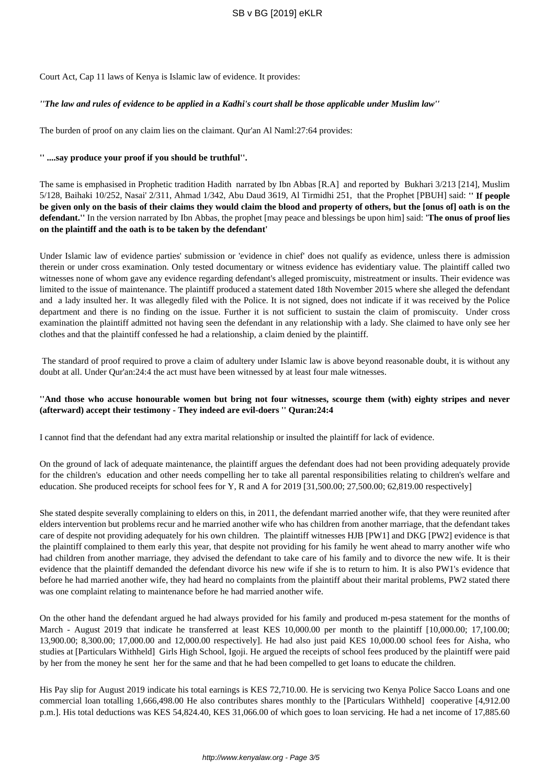Court Act, Cap 11 laws of Kenya is Islamic law of evidence. It provides:

# *''The law and rules of evidence to be applied in a Kadhi's court shall be those applicable under Muslim law''*

The burden of proof on any claim lies on the claimant. Qur'an Al Naml:27:64 provides:

## **'' ....say produce your proof if you should be truthful''.**

The same is emphasised in Prophetic tradition Hadith narrated by Ibn Abbas [R.A] and reported by Bukhari 3/213 [214], Muslim 5/128, Baihaki 10/252, Nasai' 2/311, Ahmad 1/342, Abu Daud 3619, Al Tirmidhi 251, that the Prophet [PBUH] said: **'' If people be given only on the basis of their claims they would claim the blood and property of others, but the [onus of] oath is on the defendant.''** In the version narrated by Ibn Abbas, the prophet [may peace and blessings be upon him] said: **'The onus of proof lies on the plaintiff and the oath is to be taken by the defendant'**

Under Islamic law of evidence parties' submission or 'evidence in chief' does not qualify as evidence, unless there is admission therein or under cross examination. Only tested documentary or witness evidence has evidentiary value. The plaintiff called two witnesses none of whom gave any evidence regarding defendant's alleged promiscuity, mistreatment or insults. Their evidence was limited to the issue of maintenance. The plaintiff produced a statement dated 18th November 2015 where she alleged the defendant and a lady insulted her. It was allegedly filed with the Police. It is not signed, does not indicate if it was received by the Police department and there is no finding on the issue. Further it is not sufficient to sustain the claim of promiscuity. Under cross examination the plaintiff admitted not having seen the defendant in any relationship with a lady. She claimed to have only see her clothes and that the plaintiff confessed he had a relationship, a claim denied by the plaintiff.

The standard of proof required to prove a claim of adultery under Islamic law is above beyond reasonable doubt, it is without any doubt at all. Under Qur'an:24:4 the act must have been witnessed by at least four male witnesses.

# **''And those who accuse honourable women but bring not four witnesses, scourge them (with) eighty stripes and never (afterward) accept their testimony - They indeed are evil-doers '' Quran:24:4**

I cannot find that the defendant had any extra marital relationship or insulted the plaintiff for lack of evidence.

On the ground of lack of adequate maintenance, the plaintiff argues the defendant does had not been providing adequately provide for the children's education and other needs compelling her to take all parental responsibilities relating to children's welfare and education. She produced receipts for school fees for Y, R and A for 2019 [31,500.00; 27,500.00; 62,819.00 respectively]

She stated despite severally complaining to elders on this, in 2011, the defendant married another wife, that they were reunited after elders intervention but problems recur and he married another wife who has children from another marriage, that the defendant takes care of despite not providing adequately for his own children. The plaintiff witnesses HJB [PW1] and DKG [PW2] evidence is that the plaintiff complained to them early this year, that despite not providing for his family he went ahead to marry another wife who had children from another marriage, they advised the defendant to take care of his family and to divorce the new wife. It is their evidence that the plaintiff demanded the defendant divorce his new wife if she is to return to him. It is also PW1's evidence that before he had married another wife, they had heard no complaints from the plaintiff about their marital problems, PW2 stated there was one complaint relating to maintenance before he had married another wife.

On the other hand the defendant argued he had always provided for his family and produced m-pesa statement for the months of March - August 2019 that indicate he transferred at least KES 10,000.00 per month to the plaintiff [10,000.00; 17,100.00; 13,900.00; 8,300.00; 17,000.00 and 12,000.00 respectively]. He had also just paid KES 10,000.00 school fees for Aisha, who studies at [Particulars Withheld] Girls High School, Igoji. He argued the receipts of school fees produced by the plaintiff were paid by her from the money he sent her for the same and that he had been compelled to get loans to educate the children.

His Pay slip for August 2019 indicate his total earnings is KES 72,710.00. He is servicing two Kenya Police Sacco Loans and one commercial loan totalling 1,666,498.00 He also contributes shares monthly to the [Particulars Withheld] cooperative [4,912.00 p.m.]. His total deductions was KES 54,824.40, KES 31,066.00 of which goes to loan servicing. He had a net income of 17,885.60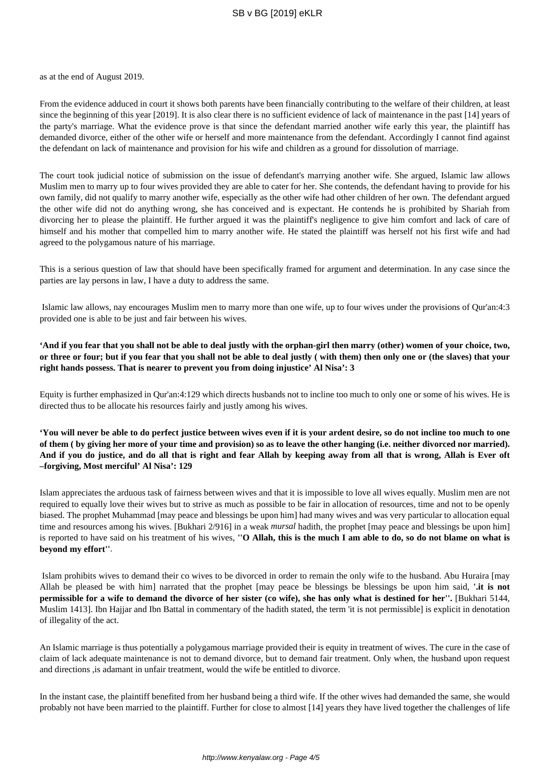as at the end of August 2019.

From the evidence adduced in court it shows both parents have been financially contributing to the welfare of their children, at least since the beginning of this year [2019]. It is also clear there is no sufficient evidence of lack of maintenance in the past [14] years of the party's marriage. What the evidence prove is that since the defendant married another wife early this year, the plaintiff has demanded divorce, either of the other wife or herself and more maintenance from the defendant. Accordingly I cannot find against the defendant on lack of maintenance and provision for his wife and children as a ground for dissolution of marriage.

The court took judicial notice of submission on the issue of defendant's marrying another wife. She argued, Islamic law allows Muslim men to marry up to four wives provided they are able to cater for her. She contends, the defendant having to provide for his own family, did not qualify to marry another wife, especially as the other wife had other children of her own. The defendant argued the other wife did not do anything wrong, she has conceived and is expectant. He contends he is prohibited by Shariah from divorcing her to please the plaintiff. He further argued it was the plaintiff's negligence to give him comfort and lack of care of himself and his mother that compelled him to marry another wife. He stated the plaintiff was herself not his first wife and had agreed to the polygamous nature of his marriage.

This is a serious question of law that should have been specifically framed for argument and determination. In any case since the parties are lay persons in law, I have a duty to address the same.

Islamic law allows, nay encourages Muslim men to marry more than one wife, up to four wives under the provisions of Qur'an:4:3 provided one is able to be just and fair between his wives.

**'And if you fear that you shall not be able to deal justly with the orphan-girl then marry (other) women of your choice, two, or three or four; but if you fear that you shall not be able to deal justly ( with them) then only one or (the slaves) that your right hands possess. That is nearer to prevent you from doing injustice' Al Nisa': 3**

Equity is further emphasized in Qur'an:4:129 which directs husbands not to incline too much to only one or some of his wives. He is directed thus to be allocate his resources fairly and justly among his wives.

**'You will never be able to do perfect justice between wives even if it is your ardent desire, so do not incline too much to one of them ( by giving her more of your time and provision) so as to leave the other hanging (i.e. neither divorced nor married). And if you do justice, and do all that is right and fear Allah by keeping away from all that is wrong, Allah is Ever oft –forgiving, Most merciful' Al Nisa': 129**

Islam appreciates the arduous task of fairness between wives and that it is impossible to love all wives equally. Muslim men are not required to equally love their wives but to strive as much as possible to be fair in allocation of resources, time and not to be openly biased. The prophet Muhammad [may peace and blessings be upon him] had many wives and was very particular to allocation equal time and resources among his wives. [Bukhari 2/916] in a weak *mursal* hadith, the prophet [may peace and blessings be upon him] is reported to have said on his treatment of his wives, **''O Allah, this is the much I am able to do, so do not blame on what is beyond my effort''**.

Islam prohibits wives to demand their co wives to be divorced in order to remain the only wife to the husband. Abu Huraira [may Allah be pleased be with him] narrated that the prophet [may peace be blessings be blessings be upon him said, **'.it is not permissible for a wife to demand the divorce of her sister (co wife), she has only what is destined for her''.** [Bukhari 5144, Muslim 1413]. Ibn Hajjar and Ibn Battal in commentary of the hadith stated, the term 'it is not permissible] is explicit in denotation of illegality of the act.

An Islamic marriage is thus potentially a polygamous marriage provided their is equity in treatment of wives. The cure in the case of claim of lack adequate maintenance is not to demand divorce, but to demand fair treatment. Only when, the husband upon request and directions ,is adamant in unfair treatment, would the wife be entitled to divorce.

In the instant case, the plaintiff benefited from her husband being a third wife. If the other wives had demanded the same, she would probably not have been married to the plaintiff. Further for close to almost [14] years they have lived together the challenges of life